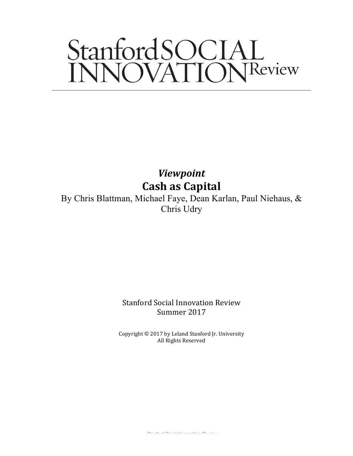# StanfordSOCIAL<br>INNOVATIONReview

*Viewpoint* **Cash as Capital**

By Chris Blattman, Michael Faye, Dean Karlan, Paul Niehaus, & Chris Udry

> Stanford Social Innovation Review Summer 2017

Copyright  $\odot$  2017 by Leland Stanford Jr. University All Rights Reserved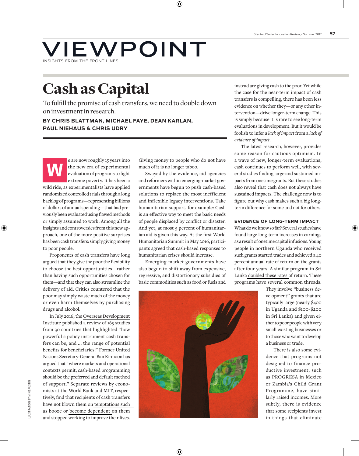## VIEWPOINT INSIGHTS FROM THE FRONT LINES

## Cash as Capital

To fulfill the promise of cash transfers, we need to double down on investment in research.

**BY CHRIS BLATTMAN, MICHAEL FAYE, DEAN KARLAN, PAUL NIEHAUS & CHRIS UDRY**

e are now roughly 15 years into<br>the new era of experimental<br>evaluation of programs to fight<br>extreme poverty. It has been a the new era of experimental evaluation of programs to fight wild ride, as experimentalists have applied randomized controlled trials through a long backlog of programs—representing billions of dollars of annual spending—that had previously been evaluated using flawed methods or simply assumed to work. Among all the insights and controversies from this new approach, one of the more positive surprises has been cash transfers: simply giving money to poor people.

Proponents of cash transfers have long argued that they give the poor the flexibility to choose the best opportunities—rather than having such opportunities chosen for them—and that they can also streamline the delivery of aid. Critics countered that the poor may simply waste much of the money or even harm themselves by purchasing drugs and alcohol.

In July 2016, the [Overseas Development](https://www.odi.org/)  Institute [published a review o](https://www.odi.org/sites/odi.org.uk/files/resource-documents/10749.pdf)f 165 studies from 30 countries that highlighted "how powerful a policy instrument cash transfers can be, and ... the range of potential benefits for beneficiaries." Former United Nations Secretary-General Ban Ki-moon has argued that "where markets and operational contexts permit, cash-based programming should be the preferred and default method of support." Separate reviews by economists at the World Bank and MIT, respectively, find that recipients of cash transfers have not blown them on [temptations such](http://documents.worldbank.org/curated/en/617631468001808739/pdf/WPS6886.pdf)  as booze or [become dependent o](http://economics.mit.edu/files/10861)n them and stopped working to improve their lives.

Giving money to people who do not have much of it is no longer taboo.

Swayed by the evidence, aid agencies and reformers within emerging-market governments have begun to push cash-based solutions to replace the most inefficient and inflexible legacy interventions. Take humanitarian support, for example: Cash is an effective way to meet the basic needs of people displaced by conflict or disaster. And yet, at most 5 percent of humanitarian aid is given this way. At the first World [Humanitarian Summit](https://www.worldhumanitariansummit.org/) in May 2016, participants agreed that cash-based responses to humanitarian crises should increase.

Emerging-market governments have also begun to shift away from expensive, regressive, and distortionary subsidies of basic commodities such as food or fuels and

instead are giving cash to the poor. Yet while the case for the near-term impact of cash transfers is compelling, there has been less evidence on whether they—or any other intervention—drive longer-term change. This is simply because it is rare to see long-term evaluations in development. But it would be foolish to infer a *lack of impact* from a *lack of evidence of impact*.

The latest research, however, provides some reason for cautious optimism. In a wave of new, longer-term evaluations, cash continues to perform well, with several studies finding large and sustained impacts from onetime grants. But these studies also reveal that cash does not always have sustained impacts. The challenge now is to figure out why cash makes such a big longterm difference for some and not for others.

### **EVIDENCE OF LONG-TERM IMPACT**

What do we know so far? Several studies have found large long-term increases in earnings as a result of onetime capital infusions. Young people in northern Uganda who received such grants [started trades](https://academic.oup.com/qje/article/129/2/697/1866610/Generating-Skilled-Self-Employment-in-Developing) and achieved a 40 percent annual rate of return on the grants after four years. A similar program in Sri Lanka [doubled these rates o](https://3ieifpriseminarseries.files.wordpress.com/2012/05/gender_business_training.pdf)f return. These programs have several common threads.

They involve "business development" grants that are typically large (nearly \$400 in Uganda and \$100-\$200 in Sri Lanka) and given either to poor people with very small existing businesses or to those who want to develop a business or trade.

There is also some evidence that programs not designed to finance productive investment, such as PROGRESA in Mexico or Zambia's Child Grant Programme, have similarly [raised incomes.](http://onlinelibrary.wiley.com/doi/10.1002/pam.21892/full) More subtly, there is evidence that some recipients invest in things that eliminate